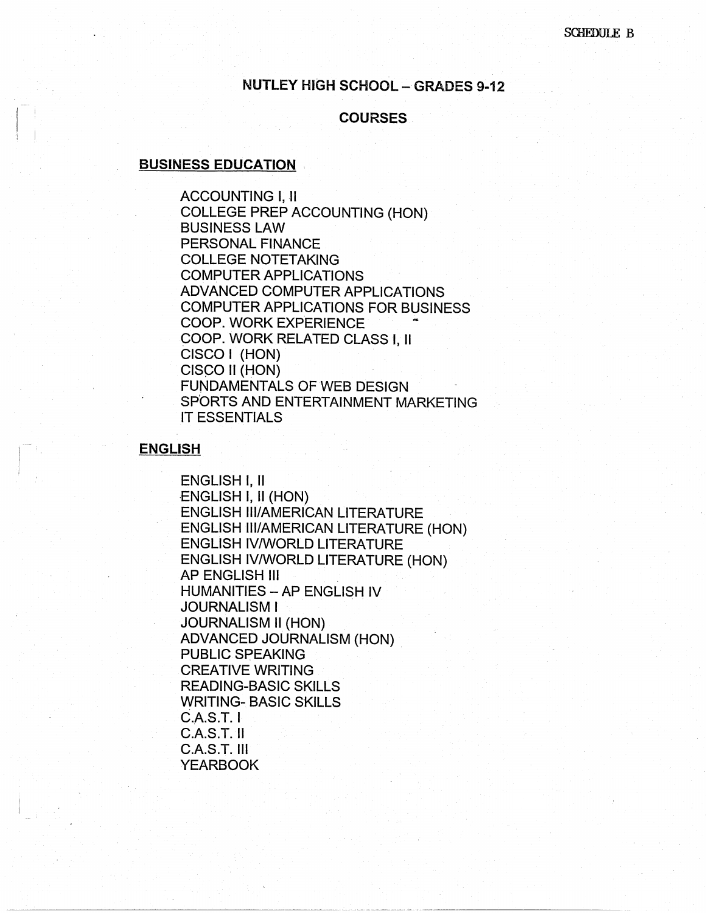# **NUTLEY HIGH SCHOOL - GRADES 9-12**

#### **COURSES**

#### **BUSINESS EDUCATION** .

 $\prod_{i=1}^n$ 

ACCOUNTING I, II COLLEGE PREP ACCOUNTING (HON) BUSINESS LAW PERSONAL FINANCE COLLEGE NOTETAKING COMPUTER APPLICATIONS ADVANCED COMPUTER APPLICATIONS COMPUTER APPLICATIONS FOR BUSINESS COOP. WORK EXPERIENCE COOP. WORK RELATED CLASS I, 11 CISCO I (HON) CISCO II (HON) FUNDAMENTALS OF WEB DESIGN SPORTS AND ENTERTAINMENT MARKETING IT ESSENTIALS

#### **ENGLISH**

ENGLISH I, II ENGLISH I, II (HON) ENGLISH Ill/AMERICAN LITERATURE ENGLISH Ill/AMERICAN LITERATURE (HON) ENGLISH IV/WORLD LITERATURE ENGLISH IV/WORLD LITERATURE (HON) AP ENGLISH Ill **HUMANITIES - AP ENGLISH IV** JOURNALISM I JOURNALISM II (HON) ADVANCED JOURNALISM (HON) PUBLIC SPEAKING CREATIVE WRITING READING-BASIC SKILLS WRITING- BASIC SKILLS C.A.S.T.I C.A.S.T. II C.A.S.T. Ill YEARBOOK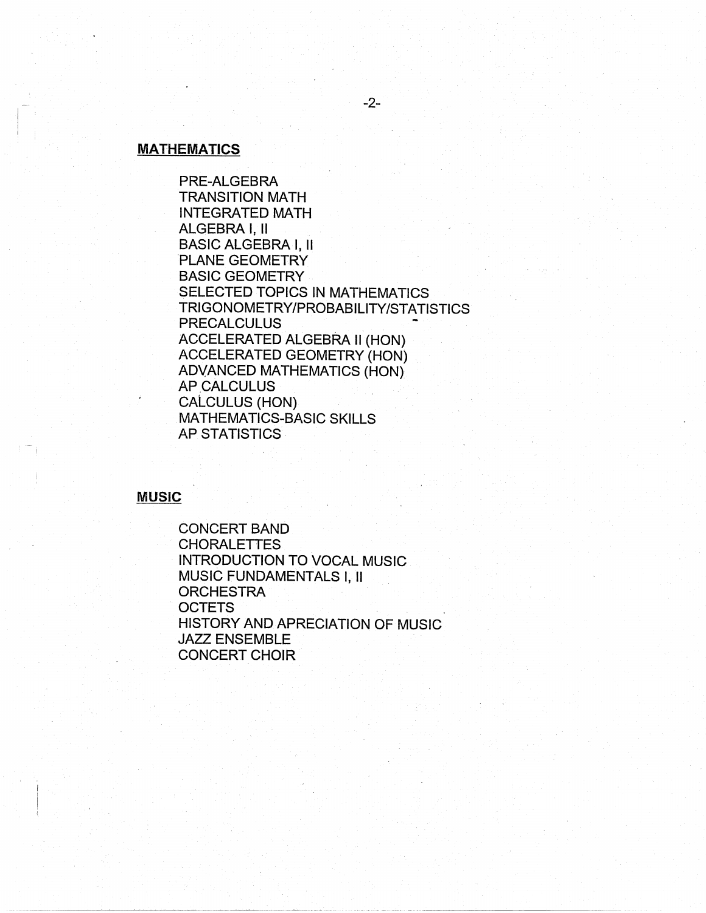# **MATHEMATICS**

PRE-ALGEBRA TRANSITION MATH INTEGRATED MATH ALGEBRA I, II BASIC ALGEBRA I, II PLANE GEOMETRY BASIC GEOMETRY SELECTED TOPICS IN MATHEMATICS TRIGONOMETRY/PROBABILITY/STATISTICS **PRECALCULUS** ACCELERATED ALGEBRA II (HON) ACCELERATED GEOMETRY (HON) ADVANCED MATHEMATICS (HON) AP CALCULUS CALCULUS (HON) MATHEMATICS-BASIC SKILLS AP STATISTICS

**MUSIC** 

CONCERT BAND CHORALETTES INTRODUCTION TO VOCAL MUSIC MUSIC FUNDAMENTALS I, II **ORCHESTRA OCTETS** HISTORY AND APRECIATION OF MUSIC JAZZ ENSEMBLE CONCERT CHOIR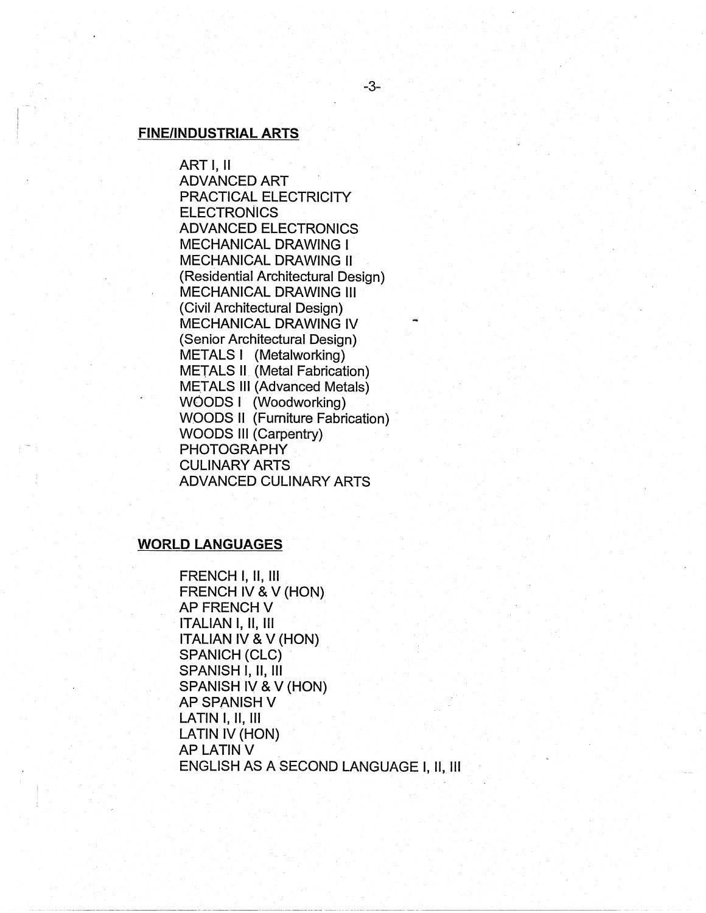# **FINE/INDUSTRIAL ARTS**

ART I, II ADVANCED ART PRACTICAL ELECTRICITY **ELECTRONICS** ADVANCED ELECTRONICS MECHANICAL DRAWING I MECHANICAL DRAWING II (Residential Architectural Design) MECHANICAL DRAWING Ill (Civil Architectural Design) MECHANICAL DRAWING IV (Senior Architectural Design) METALS I (Metalworking) METALS II (Metal Fabrication) METALS 111 (Advanced Metals) WOODS I (Woodworking) WOODS II (Furniture Fabrication) WOODS Ill (Carpentry) PHOTOGRAPHY CULINARY ARTS ADVANCED CULINARY ARTS

#### **WORLD LANGUAGES**

FRENCH I, 11, Ill FRENCH IV & V (HON) AP FRENCH V ITALIAN I, 11, Ill ITALIAN IV & V (HON) SPANICH (CLC) SPANISH I, 11, Ill SPANISH IV & V (HON) **AP SPANISH V** LATIN I, II, Ill LATIN IV (HON) APLATINV ENGLISH AS A SECOND LANGUAGE I, 11, Ill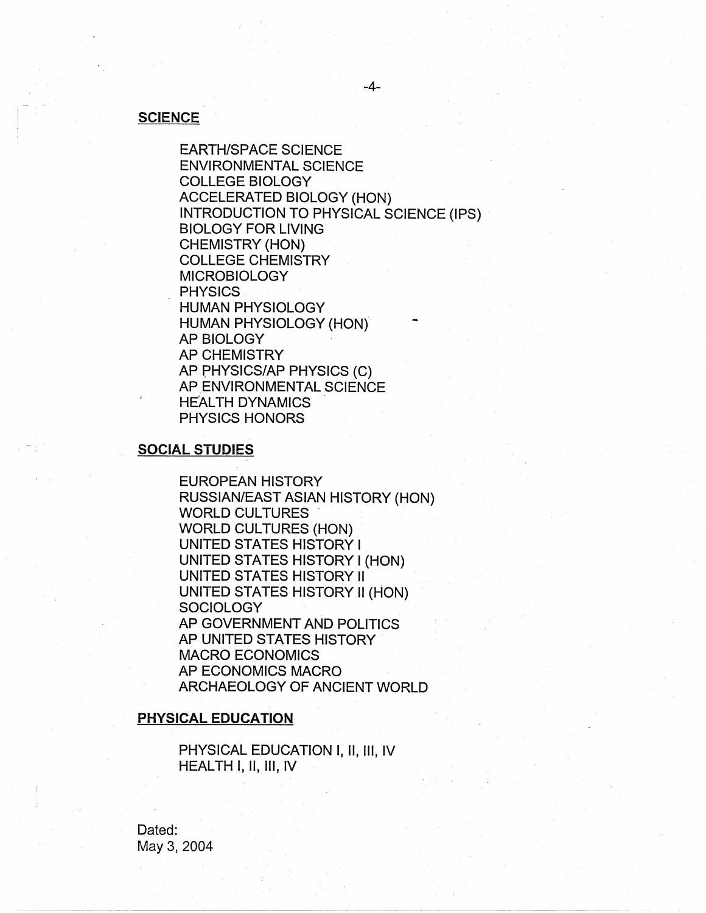#### **SCIENCE**

EARTH/SPACE SCIENCE ENVIRONMENTAL SCIENCE COLLEGE BIOLOGY ACCELERATED BIOLOGY (HON) INTRODUCTION TO PHYSICAL SCIENCE (IPS) BIOLOGY FORLIVING CHEMISTRY (HON) COLLEGE CHEMISTRY **MICROBIOLOGY PHYSICS** HUMAN PHYSIOLOGY HUMAN PHYSIOLOGY (HON}' AP BIOLOGY AP CHEMISTRY AP PHYSICS/AP PHYSICS (C) AP ENVIRONMENTAL SCIENCE HEALTH DYNAMICS PHYSICS HONORS

# **SOCIAL STUDIES**

EUROPEAN HISTORY RUSSIAN/EAST ASIAN HISTORY (HON) WORLD CULTURES WORLD CULTURES (HON) UNITED STATES HISTORY I UNITED STATES HISTORY I (HON) UNITED STATES HISTORY II UNITED STATES HISTORY II (HON) SOCIOLOGY AP GOVERNMENT AND POLITICS AP UNITED STATES HISTORY MACRO ECONOMICS AP ECONOMICS MACRO ARCHAEOLOGY OF ANCIENT WORLD

#### **PHYSICAL EDUCATION**

PHYSICAL EDUCATION I, II, III, IV HEALTH I, II, 111, IV

Dated: May 3, 2004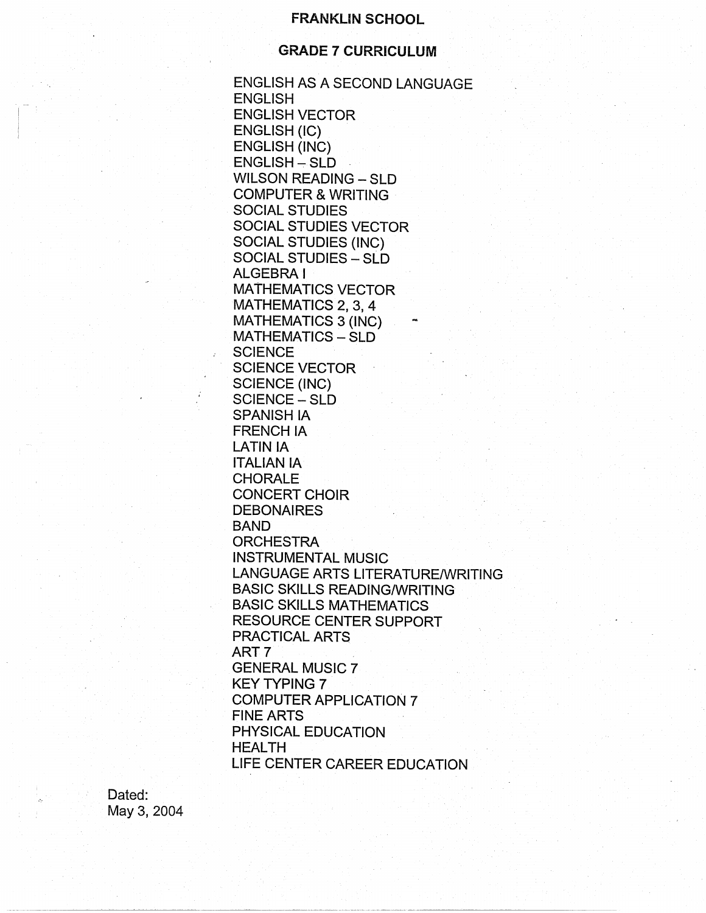## **FRANKLIN SCHOOL**

# . **GRADE 7 CURRICULUM**

ENGLISH AS A SECOND LANGUAGE ENGLISH ENGLISH VECTOR ENGLISH (IC) ENGLISH (INC)  $ENGLISH-SLD$ WILSON READING - SLD COMPUTER & WRITING · SOCIAL STUDIES SOCIAL STUDIES VECTOR SOCIAL STUDIES (INC) SOCIAL STUDIES - SLD ALGEBRA! MATHEMATICS VECTOR MATHEMATICS 2, 3, 4 MATHEMATICS 3 (INC) MATHEMATICS - SLD **SCIENCE** SCIENCE VECTOR SCIENCE (INC) SCIENCE - SLD SPANISH IA FRENCH IA LATIN IA ITALIAN IA CHORALE CONCERT CHOIR **DEBONAIRES** BAND **ORCHESTRA** INSTRUMENTAL MUSIC LANGUAGE ARTS LITERATURE/WRITING BASIC SKILLS READING/WRITING BASIC SKILLS MATHEMATICS RESOURCE CENTER SUPPORT PRACTICAL ARTS ART<sub>7</sub> GENERAL MUSIC 7 KEY TYPING 7 COMPUTER APPLICATION 7 FINE ARTS PHYSICAL EDUCATION HEALTH LIFE CENTER CAREER EDUCATION

Dated: May 3, 2004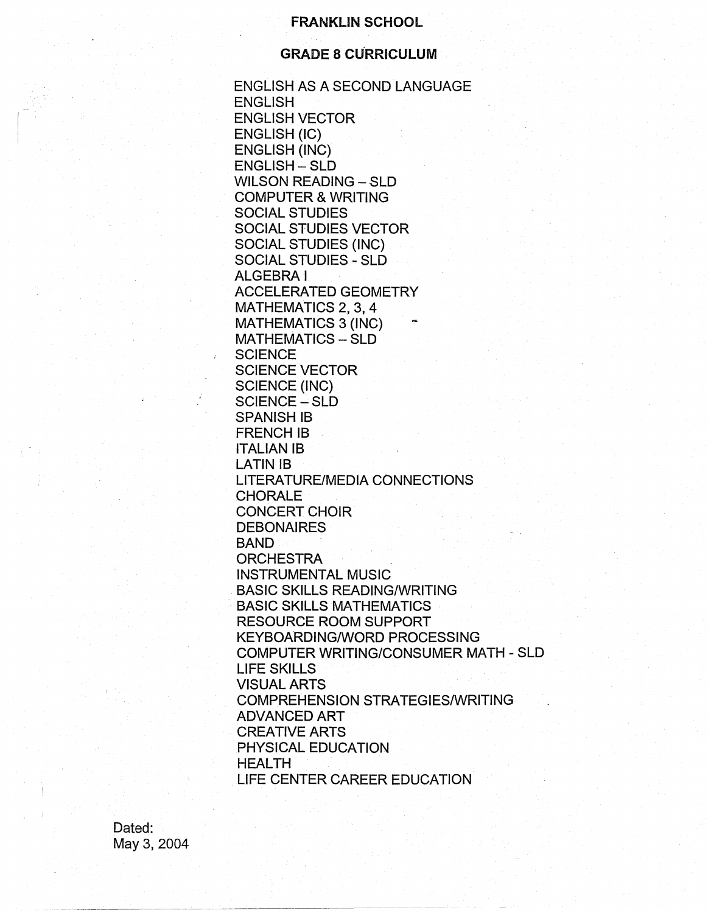#### **FRANKLIN SCHOOL**

# **GRADE 8 CURRICULUM**

ENGLISH AS A SECOND LANGUAGE **ENGLISH** ENGLISH VECTOR ENGLISH (IC) ENGLISH (INC) ENGLISH - SLD WILSON READING - SLD COMPUTER & WRITING SOCIAL STUDIES SOCIAL STUDIES VECTOR SOCIAL STUDIES (INC) SOCIAL STUDIES - SLD ALGEBRA! ACCELERATED GEOMETRY MATHEMATICS 2, 3, 4 MATHEMATICS 3 (INC) MATHEMATICS - SLD **SCIENCE** SCIENCE VECTOR SCIENCE (INC) SCIENCE - SLD SPANISH IB FRENCH IB **ITALIAN IB** LATIN IB LITERATURE/MEDIA CONNECTIONS CHORALE CONCERT CHOIR **DEBONAIRES** BAND **ORCHESTRA** INSTRUMENTAL MUSIC . BASIC SKILLS READING/WRITING BASIC SKILLS MATHEMATICS RESOURCE ROOM SUPPORT KEYBOARDING/WORD PROCESSING COMPUTER WRITING/CONSUMER MATH - SLD LIFE SKILLS VISUAL ARTS COMPREHENSION STRATEGIES/WRITING ADVANCED ART CREATIVE ARTS PHYSICAL EDUCATION HEALTH LIFE CENTER CAREER EDUCATION

Dated: May 3, 2004